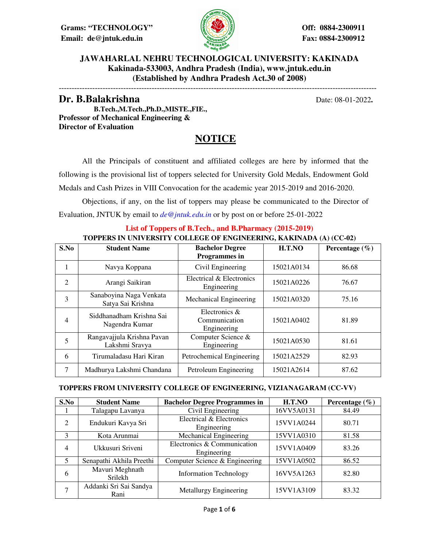**Grams: "TECHNOLOGY" Off: 0884-2300911 Email: de@jntuk.edu.in Fax: 0884-2300912**



### **JAWAHARLAL NEHRU TECHNOLOGICAL UNIVERSITY: KAKINADA Kakinada-533003, Andhra Pradesh (India), www.jntuk.edu.in (Established by Andhra Pradesh Act.30 of 2008)**

---------------------------------------------------------------------------------------------------------------------------

**Dr. B.Balakrishna Date: 08-01-2022**. **B.Tech.,M.Tech.,Ph.D.,MISTE.,FIE., Professor of Mechanical Engineering & Director of Evaluation**

## **NOTICE**

 All the Principals of constituent and affiliated colleges are here by informed that the following is the provisional list of toppers selected for University Gold Medals, Endowment Gold Medals and Cash Prizes in VIII Convocation for the academic year 2015-2019 and 2016-2020.

 Objections, if any, on the list of toppers may please be communicated to the Director of Evaluation, JNTUK by email to *de@jntuk.edu.in* or by post on or before 25-01-2022

#### **List of Toppers of B.Tech., and B.Pharmacy (2015-2019) TOPPERS IN UNIVERSITY COLLEGE OF ENGINEERING, KAKINADA (A) (CC-02)**

| S.No           | <b>Student Name</b>                          | <b>Bachelor Degree</b><br><b>Programmes</b> in | H.T.NO     | Percentage $(\% )$ |
|----------------|----------------------------------------------|------------------------------------------------|------------|--------------------|
|                | Navya Koppana                                | Civil Engineering                              | 15021A0134 | 86.68              |
| $\overline{c}$ | Arangi Saikiran                              | Electrical & Electronics<br>Engineering        | 15021A0226 | 76.67              |
| 3              | Sanaboyina Naga Venkata<br>Satya Sai Krishna | Mechanical Engineering                         | 15021A0320 | 75.16              |
| $\overline{4}$ | Siddhanadham Krishna Sai<br>Nagendra Kumar   | Electronics &<br>Communication<br>Engineering  | 15021A0402 | 81.89              |
| 5              | Rangavajjula Krishna Pavan<br>Lakshmi Sravya | Computer Science &<br>Engineering              | 15021A0530 | 81.61              |
| 6              | Tirumaladasu Hari Kiran                      | Petrochemical Engineering                      | 15021A2529 | 82.93              |
| 7              | Madhurya Lakshmi Chandana                    | Petroleum Engineering                          | 15021A2614 | 87.62              |

#### **TOPPERS FROM UNIVERSITY COLLEGE OF ENGINEERING, VIZIANAGARAM (CC-VV)**

| S.No | <b>Student Name</b>            | <b>Bachelor Degree Programmes in</b>       | H.T.NO     | Percentage $(\% )$ |
|------|--------------------------------|--------------------------------------------|------------|--------------------|
|      | Talagapu Lavanya               | Civil Engineering                          | 16VV5A0131 | 84.49              |
| 2    | Endukuri Kavya Sri             | Electrical & Electronics<br>Engineering    | 15VV1A0244 | 80.71              |
| 3    | Kota Arunmai                   | <b>Mechanical Engineering</b>              | 15VV1A0310 | 81.58              |
| 4    | Ukkusuri Sriveni               | Electronics & Communication<br>Engineering | 15VV1A0409 | 83.26              |
| 5    | Senapathi Akhila Preethi       | Computer Science & Engineering             | 15VV1A0502 | 86.52              |
| 6    | Mavuri Meghnath<br>Srilekh     | <b>Information Technology</b>              | 16VV5A1263 | 82.80              |
| 7    | Addanki Sri Sai Sandya<br>Rani | Metallurgy Engineering                     | 15VV1A3109 | 83.32              |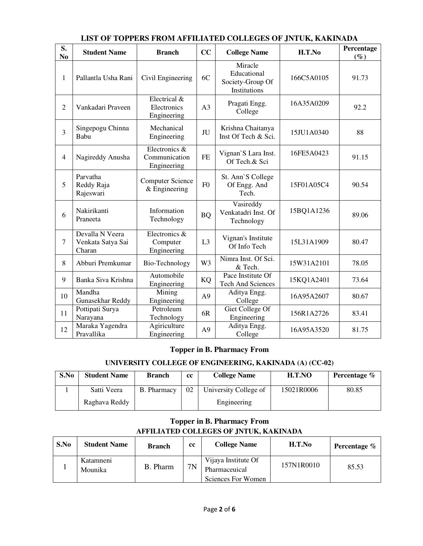| S.<br>N <sub>0</sub> | <b>Student Name</b>                            | <b>Branch</b>                                 | CC             | <b>College Name</b>                                        | H.T.No     | Percentage<br>$(\%)$ |
|----------------------|------------------------------------------------|-----------------------------------------------|----------------|------------------------------------------------------------|------------|----------------------|
| 1                    | Pallantla Usha Rani                            | Civil Engineering                             | 6C             | Miracle<br>Educational<br>Society-Group Of<br>Institutions | 166C5A0105 | 91.73                |
| $\overline{2}$       | Vankadari Praveen                              | Electrical &<br>Electronics<br>Engineering    | A <sub>3</sub> | Pragati Engg.<br>College                                   | 16A35A0209 | 92.2                 |
| 3                    | Singepogu Chinna<br>Babu                       | Mechanical<br>Engineering                     | JU             | Krishna Chaitanya<br>Inst Of Tech & Sci.                   | 15JU1A0340 | 88                   |
| $\overline{4}$       | Nagireddy Anusha                               | Electronics &<br>Communication<br>Engineering | <b>FE</b>      | Vignan'S Lara Inst.<br>Of Tech.& Sci                       | 16FE5A0423 | 91.15                |
| 5                    | Parvatha<br>Reddy Raja<br>Rajeswari            | <b>Computer Science</b><br>$&$ Engineering    | F <sub>0</sub> | St. Ann'S College<br>Of Engg. And<br>Tech.                 | 15F01A05C4 | 90.54                |
| 6                    | Nakirikanti<br>Praneeta                        | Information<br>Technology                     | <b>BQ</b>      | Vasireddy<br>Venkatadri Inst. Of<br>Technology             | 15BQ1A1236 | 89.06                |
| $\overline{7}$       | Devalla N Veera<br>Venkata Satya Sai<br>Charan | Electronics &<br>Computer<br>Engineering      | L <sub>3</sub> | Vignan's Institute<br>Of Info Tech                         | 15L31A1909 | 80.47                |
| 8                    | Abburi Premkumar                               | Bio-Technology                                | W <sub>3</sub> | Nimra Inst. Of Sci.<br>& Tech.                             | 15W31A2101 | 78.05                |
| 9                    | Banka Siva Krishna                             | Automobile<br>Engineering                     | KQ             | Pace Institute Of<br><b>Tech And Sciences</b>              | 15KQ1A2401 | 73.64                |
| 10                   | Mandha<br>Gunasekhar Reddy                     | Mining<br>Engineering                         | A <sub>9</sub> | Aditya Engg.<br>College                                    | 16A95A2607 | 80.67                |
| 11                   | Pottipati Surya<br>Narayana                    | Petroleum<br>Technology                       | 6R             | Giet College Of<br>Engineering                             | 156R1A2726 | 83.41                |
| 12                   | Maraka Yagendra<br>Pravallika                  | Agiriculture<br>Engineering                   | A <sub>9</sub> | Aditya Engg.<br>College                                    | 16A95A3520 | 81.75                |

### **LIST OF TOPPERS FROM AFFILIATED COLLEGES OF JNTUK, KAKINADA**

### **Topper in B. Pharmacy From**

### **UNIVERSITY COLLEGE OF ENGINEERING, KAKINADA (A) (CC-02)**

| S.No | <b>Student Name</b> | <b>Branch</b>      | cc | <b>College Name</b>   | H.T.NO     | Percentage % |
|------|---------------------|--------------------|----|-----------------------|------------|--------------|
|      | Satti Veera         | <b>B.</b> Pharmacy | 02 | University College of | 15021R0006 | 80.85        |
|      | Raghava Reddy       |                    |    | Engineering           |            |              |

## **Topper in B. Pharmacy From AFFILIATED COLLEGES OF JNTUK, KAKINADA**

| S.No | <b>Student Name</b>  | <b>Branch</b> | cc | <b>College Name</b>                                        | H.T.No     | Percentage $\%$ |
|------|----------------------|---------------|----|------------------------------------------------------------|------------|-----------------|
|      | Katamneni<br>Mounika | B. Pharm      | 7N | Vijaya Institute Of<br>Pharmaceuical<br>Sciences For Women | 157N1R0010 | 85.53           |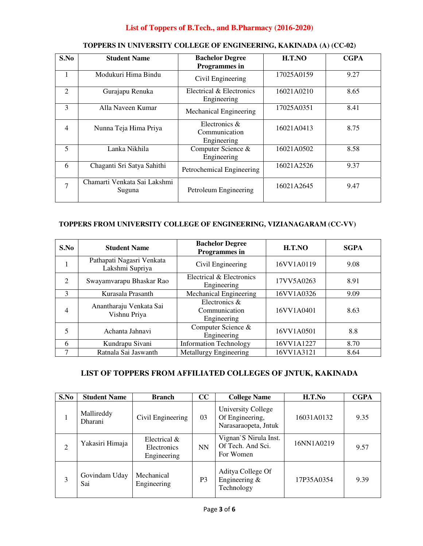## **List of Toppers of B.Tech., and B.Pharmacy (2016-2020)**

| S.No           | <b>Student Name</b>                    | <b>Bachelor Degree</b><br><b>Programmes</b> in   | H.T.NO     | <b>CGPA</b> |
|----------------|----------------------------------------|--------------------------------------------------|------------|-------------|
| 1              | Modukuri Hima Bindu                    | Civil Engineering                                | 17025A0159 | 9.27        |
| 2              | Gurajapu Renuka                        | Electrical & Electronics<br>Engineering          | 16021A0210 | 8.65        |
| 3              | Alla Naveen Kumar                      | Mechanical Engineering                           | 17025A0351 | 8.41        |
| $\overline{4}$ | Nunna Teja Hima Priya                  | Electronics $\&$<br>Communication<br>Engineering | 16021A0413 | 8.75        |
| 5              | Lanka Nikhila                          | Computer Science &<br>Engineering                | 16021A0502 | 8.58        |
| 6              | Chaganti Sri Satya Sahithi             | Petrochemical Engineering                        | 16021A2526 | 9.37        |
| $\tau$         | Chamarti Venkata Sai Lakshmi<br>Suguna | Petroleum Engineering                            | 16021A2645 | 9.47        |

## **TOPPERS IN UNIVERSITY COLLEGE OF ENGINEERING, KAKINADA (A) (CC-02)**

### **TOPPERS FROM UNIVERSITY COLLEGE OF ENGINEERING, VIZIANAGARAM (CC-VV)**

| S.No | <b>Student Name</b>                          | <b>Bachelor Degree</b><br>Programmes in       | H.T.NO     | <b>SGPA</b> |
|------|----------------------------------------------|-----------------------------------------------|------------|-------------|
|      | Pathapati Nagasri Venkata<br>Lakshmi Supriya | Civil Engineering                             | 16VV1A0119 | 9.08        |
| 2    | Swayamvarapu Bhaskar Rao                     | Electrical & Electronics<br>Engineering       | 17VV5A0263 | 8.91        |
| 3    | Kurasala Prasanth                            | Mechanical Engineering                        | 16VV1A0326 | 9.09        |
| 4    | Anantharaju Venkata Sai<br>Vishnu Priya      | Electronics &<br>Communication<br>Engineering | 16VV1A0401 | 8.63        |
| 5    | Achanta Jahnavi                              | Computer Science &<br>Engineering             | 16VV1A0501 | 8.8         |
| 6    | Kundrapu Sivani                              | <b>Information Technology</b>                 | 16VV1A1227 | 8.70        |
| 7    | Ratnala Sai Jaswanth                         | Metallurgy Engineering                        | 16VV1A3121 | 8.64        |

## **LIST OF TOPPERS FROM AFFILIATED COLLEGES OF JNTUK, KAKINADA**

| S.No           | <b>Student Name</b>          | <b>Branch</b>                              | cc             | <b>College Name</b>                                           | H.T.No     | <b>CGPA</b> |
|----------------|------------------------------|--------------------------------------------|----------------|---------------------------------------------------------------|------------|-------------|
|                | Mallireddy<br><b>Dharani</b> | Civil Engineering                          | 03             | University College<br>Of Engineering,<br>Narasaraopeta, Jntuk | 16031A0132 | 9.35        |
| $\overline{2}$ | Yakasiri Himaja              | Electrical &<br>Electronics<br>Engineering | <b>NN</b>      | Vignan'S Nirula Inst.<br>Of Tech. And Sci.<br>For Women       | 16NN1A0219 | 9.57        |
| 3              | Govindam Uday<br>Sai         | Mechanical<br>Engineering                  | P <sub>3</sub> | Aditya College Of<br>Engineering $&$<br>Technology            | 17P35A0354 | 9.39        |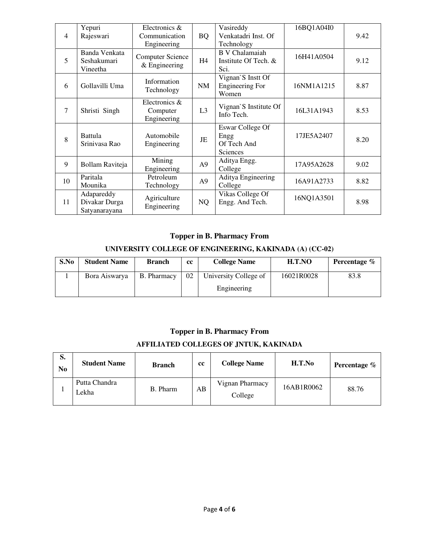|                | Yepuri          | Electronics &           |                | Vasireddy              | 16BQ1A04I0 |      |
|----------------|-----------------|-------------------------|----------------|------------------------|------------|------|
| $\overline{4}$ | Rajeswari       | Communication           | <b>BQ</b>      | Venkatadri Inst. Of    |            | 9.42 |
|                |                 | Engineering             |                | Technology             |            |      |
|                | Banda Venkata   | <b>Computer Science</b> |                | <b>B</b> V Chalamaiah  | 16H41A0504 |      |
| 5              | Seshakumari     | $&$ Engineering         | H <sub>4</sub> | Institute Of Tech. &   |            | 9.12 |
|                | Vineetha        |                         |                | Sci.                   |            |      |
|                |                 | Information             |                | Vignan'S Instt Of      |            |      |
| 6              | Gollavilli Uma  | Technology              | NM             | <b>Engineering For</b> | 16NM1A1215 | 8.87 |
|                |                 |                         |                | Women                  |            |      |
|                |                 | Electronics &           |                | Vignan'S Institute Of  |            |      |
| $\tau$         | Shristi Singh   | Computer                | L <sub>3</sub> | Info Tech.             | 16L31A1943 | 8.53 |
|                |                 | Engineering             |                |                        |            |      |
|                |                 |                         |                | Eswar College Of       |            |      |
| 8              | <b>Battula</b>  | Automobile              | JE             | Engg                   | 17JE5A2407 | 8.20 |
|                | Srinivasa Rao   | Engineering             |                | Of Tech And            |            |      |
|                |                 |                         |                | Sciences               |            |      |
| 9              | Bollam Raviteja | Mining                  | A9             | Aditya Engg.           | 17A95A2628 | 9.02 |
|                |                 | Engineering             |                | College                |            |      |
| 10             | Paritala        | Petroleum               | A <sub>9</sub> | Aditya Engineering     | 16A91A2733 | 8.82 |
|                | Mounika         | Technology              |                | College                |            |      |
|                | Adapareddy      | Agiriculture            |                | Vikas College Of       | 16NQ1A3501 |      |
| 11             | Divakar Durga   | Engineering             | NQ             | Engg. And Tech.        |            | 8.98 |
|                | Satyanarayana   |                         |                |                        |            |      |

# **Topper in B. Pharmacy From**

## **UNIVERSITY COLLEGE OF ENGINEERING, KAKINADA (A) (CC-02)**

| S.No | <b>Student Name</b> | <b>Branch</b>      | cc | <b>College Name</b>                  | H.T.NO     | Percentage % |
|------|---------------------|--------------------|----|--------------------------------------|------------|--------------|
|      | Bora Aiswarya       | <b>B.</b> Pharmacy | 02 | University College of<br>Engineering | 16021R0028 | 83.8         |

### **Topper in B. Pharmacy From**

## **AFFILIATED COLLEGES OF JNTUK, KAKINADA**

| S.<br>No | <b>Student Name</b>    | <b>Branch</b> | cc | <b>College Name</b>        | H.T.No     | Percentage % |
|----------|------------------------|---------------|----|----------------------------|------------|--------------|
|          | Putta Chandra<br>Lekha | B. Pharm      | AВ | Vignan Pharmacy<br>College | 16AB1R0062 | 88.76        |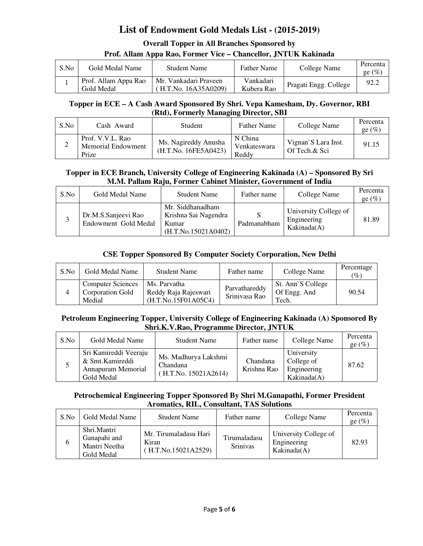## **List of Endowment Gold Medals List - (2015-2019)**

## **Overall Topper in All Branches Sponsored by Prof. Allam Appa Rao, Former Vice – Chancellor, JNTUK Kakinada**

| S.No | Gold Medal Name                    | Student Name                                 | <b>Father Name</b>      | College Name          | Percenta<br>ge $(\%)$ |
|------|------------------------------------|----------------------------------------------|-------------------------|-----------------------|-----------------------|
|      | Prof. Allam Appa Rao<br>Gold Medal | Mr. Vankadari Praveen<br>H.T.No. 16A35A0209) | Vankadari<br>Kubera Rao | Pragati Engg. College | 92.2                  |

### **Topper in ECE – A Cash Award Sponsored By Shri. Vepa Kamesham, Dy. Governor, RBI (Rtd), Formerly Managing Director, SBI**

| S.No | Cash Award                                      | <b>Student</b>                               | <b>Father Name</b>               | College Name                         | Percenta<br>ge $(\%)$ |
|------|-------------------------------------------------|----------------------------------------------|----------------------------------|--------------------------------------|-----------------------|
|      | Prof. V.V.L. Rao<br>Memorial Endowment<br>Prize | Ms. Nagireddy Anusha<br>(H.T.No. 16FE5A0423) | N China<br>Venkateswara<br>Reddy | Vignan's Lara Inst.<br>Of Tech.& Sci | 91.15                 |

### **Topper in ECE Branch, University College of Engineering Kakinada (A) – Sponsored By Sri M.M. Pallam Raju, Former Cabinet Minister, Government of India**

| S.No | Gold Medal Name                             | <b>Student Name</b>                                                      | Father name | College Name                                        | Percenta<br>ge $(\%)$ |
|------|---------------------------------------------|--------------------------------------------------------------------------|-------------|-----------------------------------------------------|-----------------------|
|      | Dr.M.S.Sanjeevi Rao<br>Endowment Gold Medal | Mr. Siddhanadham<br>Krishna Sai Nagendra<br>Kumar<br>(H.T.No.15021A0402) | Padmanabham | University College of<br>Engineering<br>Kakinada(A) | 81.89                 |

## **CSE Topper Sponsored By Computer Society Corporation, New Delhi**

| S.No | Gold Medal Name                                               | <b>Student Name</b>                                         | Father name                    | College Name                               | Percentage<br>$(\%)$ |
|------|---------------------------------------------------------------|-------------------------------------------------------------|--------------------------------|--------------------------------------------|----------------------|
|      | <b>Computer Sciences</b><br><b>Corporation Gold</b><br>Medial | Ms. Parvatha<br>Reddy Raja Rajeswari<br>(H.T.No.15F01A05C4) | Parvathareddy<br>Srinivasa Rao | St. Ann'S College<br>Of Engg. And<br>Tech. | 90.54                |

#### **Petroleum Engineering Topper, University College of Engineering Kakinada (A) Sponsored By Shri.K.V.Rao, Programme Director, JNTUK**

| S.No | Gold Medal Name                                                              | <b>Student Name</b>                                      | Father name             | College Name                                           | Percenta<br>ge $(\%)$ |
|------|------------------------------------------------------------------------------|----------------------------------------------------------|-------------------------|--------------------------------------------------------|-----------------------|
|      | Sri Kamireddi Veeraju<br>& Smt.Kamireddi<br>Annapuram Memorial<br>Gold Medal | Ms. Madhurya Lakshmi<br>Chandana<br>(H.T.No. 15021A2614) | Chandana<br>Krishna Rao | University<br>College of<br>Engineering<br>Kakinada(A) | 87.62                 |

### **Petrochemical Engineering Topper Sponsored By Shri M.Ganapathi, Former President Aromatics, RIL, Consultant, TAS Solutions**

| S.No | Gold Medal Name                                            | <b>Student Name</b>                                   | Father name                     | College Name                                        | Percenta<br>ge $(\%)$ |
|------|------------------------------------------------------------|-------------------------------------------------------|---------------------------------|-----------------------------------------------------|-----------------------|
|      | Shri.Mantri<br>Ganapahi and<br>Mantri Neetha<br>Gold Medal | Mr. Tirumaladasu Hari<br>Kiran<br>(H.T.No.15021A2529) | Tirumaladasu<br><b>Srinivas</b> | University College of<br>Engineering<br>Kakinada(A) | 82.93                 |